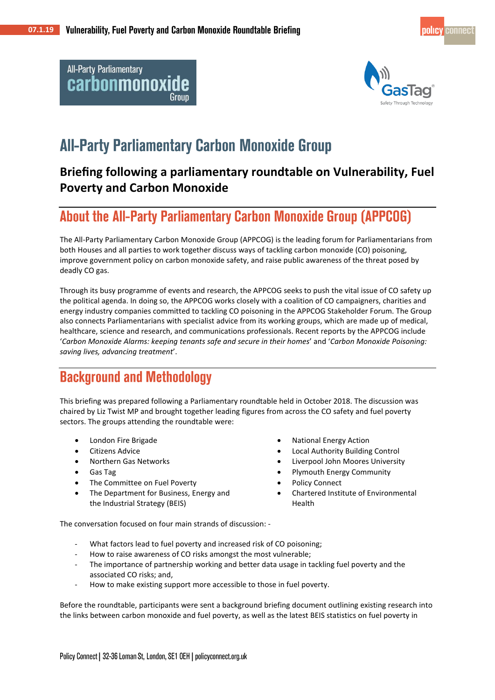**All-Party Parliamentary** carbonmonoxide



# **All-Party Parliamentary Carbon Monoxide Group**

### **Briefing following a parliamentary roundtable on Vulnerability, Fuel Poverty and Carbon Monoxide**

## **About the All-Party Parliamentary Carbon Monoxide Group (APPCOG)**

The All-Party Parliamentary Carbon Monoxide Group (APPCOG) is the leading forum for Parliamentarians from both Houses and all parties to work together discuss ways of tackling carbon monoxide (CO) poisoning, improve government policy on carbon monoxide safety, and raise public awareness of the threat posed by deadly CO gas.

Through its busy programme of events and research, the APPCOG seeks to push the vital issue of CO safety up the political agenda. In doing so, the APPCOG works closely with a coalition of CO campaigners, charities and energy industry companies committed to tackling CO poisoning in the APPCOG Stakeholder Forum. The Group also connects Parliamentarians with specialist advice from its working groups, which are made up of medical, healthcare, science and research, and communications professionals. Recent reports by the APPCOG include '*Carbon Monoxide Alarms: keeping tenants safe and secure in their homes*' and '*Carbon Monoxide Poisoning: saving lives, advancing treatment*'.

## **Background and Methodology**

This briefing was prepared following a Parliamentary roundtable held in October 2018. The discussion was chaired by Liz Twist MP and brought together leading figures from across the CO safety and fuel poverty sectors. The groups attending the roundtable were:

- London Fire Brigade
- Citizens Advice
- Northern Gas Networks
- Gas Tag
- The Committee on Fuel Poverty
- The Department for Business, Energy and the Industrial Strategy (BEIS)
- National Energy Action
- Local Authority Building Control
- Liverpool John Moores University
- Plymouth Energy Community
- Policy Connect
- Chartered Institute of Environmental Health

The conversation focused on four main strands of discussion: -

- What factors lead to fuel poverty and increased risk of CO poisoning;
- How to raise awareness of CO risks amongst the most vulnerable;
- The importance of partnership working and better data usage in tackling fuel poverty and the associated CO risks; and,
- How to make existing support more accessible to those in fuel poverty.

Before the roundtable, participants were sent a background briefing document outlining existing research into the links between carbon monoxide and fuel poverty, as well as the latest BEIS statistics on fuel poverty in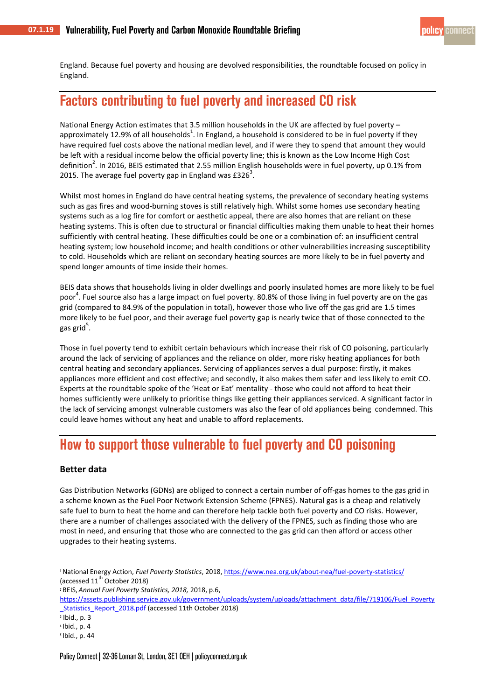England. Because fuel poverty and housing are devolved responsibilities, the roundtable focused on policy in England.

## **Factors contributing to fuel poverty and increased CO risk**

National Energy Action estimates that 3.5 million households in the UK are affected by fuel poverty – approximately 12.9% of all households<sup>1</sup>. In England, a household is considered to be in fuel poverty if they have required fuel costs above the national median level, and if were they to spend that amount they would be left with a residual income below the official poverty line; this is known as the Low Income High Cost definition<sup>2</sup>. In 2016, BEIS estimated that 2.55 million English households were in fuel poverty, up 0.1% from 2015. The average fuel poverty gap in England was  $£326<sup>3</sup>$ .

Whilst most homes in England do have central heating systems, the prevalence of secondary heating systems such as gas fires and wood-burning stoves is still relatively high. Whilst some homes use secondary heating systems such as a log fire for comfort or aesthetic appeal, there are also homes that are reliant on these heating systems. This is often due to structural or financial difficulties making them unable to heat their homes sufficiently with central heating. These difficulties could be one or a combination of: an insufficient central heating system; low household income; and health conditions or other vulnerabilities increasing susceptibility to cold. Households which are reliant on secondary heating sources are more likely to be in fuel poverty and spend longer amounts of time inside their homes.

BEIS data shows that households living in older dwellings and poorly insulated homes are more likely to be fuel poor<sup>4</sup>. Fuel source also has a large impact on fuel poverty. 80.8% of those living in fuel poverty are on the gas grid (compared to 84.9% of the population in total), however those who live off the gas grid are 1.5 times more likely to be fuel poor, and their average fuel poverty gap is nearly twice that of those connected to the gas grid<sup>5</sup>.

Those in fuel poverty tend to exhibit certain behaviours which increase their risk of CO poisoning, particularly around the lack of servicing of appliances and the reliance on older, more risky heating appliances for both central heating and secondary appliances. Servicing of appliances serves a dual purpose: firstly, it makes appliances more efficient and cost effective; and secondly, it also makes them safer and less likely to emit CO. Experts at the roundtable spoke of the 'Heat or Eat' mentality - those who could not afford to heat their homes sufficiently were unlikely to prioritise things like getting their appliances serviced. A significant factor in the lack of servicing amongst vulnerable customers was also the fear of old appliances being condemned. This could leave homes without any heat and unable to afford replacements.

## How to support those vulnerable to fuel poverty and CO poisoning

#### **Better data**

Gas Distribution Networks (GDNs) are obliged to connect a certain number of off-gas homes to the gas grid in a scheme known as the Fuel Poor Network Extension Scheme (FPNES). Natural gas is a cheap and relatively safe fuel to burn to heat the home and can therefore help tackle both fuel poverty and CO risks. However, there are a number of challenges associated with the delivery of the FPNES, such as finding those who are most in need, and ensuring that those who are connected to the gas grid can then afford or access other upgrades to their heating systems.

-

<sup>1</sup>National Energy Action, *Fuel Poverty Statistics*, 2018[, https://www.nea.org.uk/about-nea/fuel-poverty-statistics/](https://www.nea.org.uk/about-nea/fuel-poverty-statistics/) (accessed  $11<sup>th</sup>$  October 2018)

<sup>2</sup> BEIS, *Annual Fuel Poverty Statistics, 2018,* 2018, p.6,

[https://assets.publishing.service.gov.uk/government/uploads/system/uploads/attachment\\_data/file/719106/Fuel\\_Poverty](https://assets.publishing.service.gov.uk/government/uploads/system/uploads/attachment_data/file/719106/Fuel_Poverty_Statistics_Report_2018.pdf) [\\_Statistics\\_Report\\_2018.pdf](https://assets.publishing.service.gov.uk/government/uploads/system/uploads/attachment_data/file/719106/Fuel_Poverty_Statistics_Report_2018.pdf) (accessed 11th October 2018)

<sup>3</sup> Ibid., p. 3

<sup>4</sup> Ibid., p. 4

<sup>5</sup> Ibid., p. 44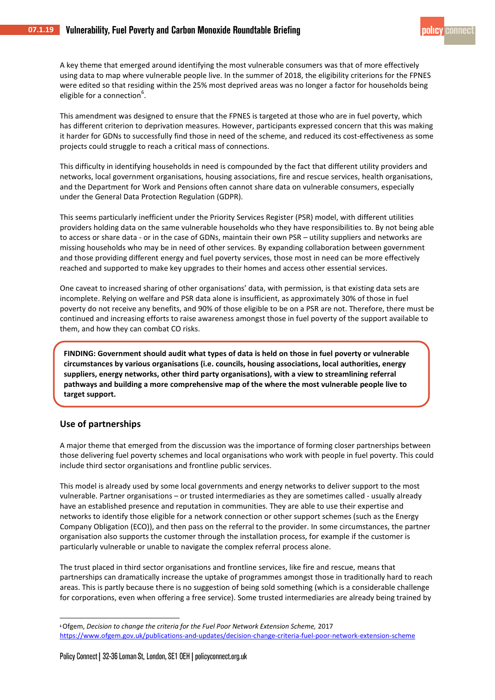A key theme that emerged around identifying the most vulnerable consumers was that of more effectively using data to map where vulnerable people live. In the summer of 2018, the eligibility criterions for the FPNES were edited so that residing within the 25% most deprived areas was no longer a factor for households being eligible for a connection<sup>6</sup>.

This amendment was designed to ensure that the FPNES is targeted at those who are in fuel poverty, which has different criterion to deprivation measures. However, participants expressed concern that this was making it harder for GDNs to successfully find those in need of the scheme, and reduced its cost-effectiveness as some projects could struggle to reach a critical mass of connections.

This difficulty in identifying households in need is compounded by the fact that different utility providers and networks, local government organisations, housing associations, fire and rescue services, health organisations, and the Department for Work and Pensions often cannot share data on vulnerable consumers, especially under the General Data Protection Regulation (GDPR).

This seems particularly inefficient under the Priority Services Register (PSR) model, with different utilities providers holding data on the same vulnerable households who they have responsibilities to. By not being able to access or share data - or in the case of GDNs, maintain their own PSR – utility suppliers and networks are missing households who may be in need of other services. By expanding collaboration between government and those providing different energy and fuel poverty services, those most in need can be more effectively reached and supported to make key upgrades to their homes and access other essential services.

One caveat to increased sharing of other organisations' data, with permission, is that existing data sets are incomplete. Relying on welfare and PSR data alone is insufficient, as approximately 30% of those in fuel poverty do not receive any benefits, and 90% of those eligible to be on a PSR are not. Therefore, there must be continued and increasing efforts to raise awareness amongst those in fuel poverty of the support available to them, and how they can combat CO risks.

**FINDING: Government should audit what types of data is held on those in fuel poverty or vulnerable circumstances by various organisations (i.e. councils, housing associations, local authorities, energy suppliers, energy networks, other third party organisations), with a view to streamlining referral pathways and building a more comprehensive map of the where the most vulnerable people live to target support.**

#### **Use of partnerships**

**.**

-

A major theme that emerged from the discussion was the importance of forming closer partnerships between those delivering fuel poverty schemes and local organisations who work with people in fuel poverty. This could include third sector organisations and frontline public services.

This model is already used by some local governments and energy networks to deliver support to the most vulnerable. Partner organisations – or trusted intermediaries as they are sometimes called - usually already have an established presence and reputation in communities. They are able to use their expertise and networks to identify those eligible for a network connection or other support schemes (such as the Energy Company Obligation (ECO)), and then pass on the referral to the provider. In some circumstances, the partner organisation also supports the customer through the installation process, for example if the customer is particularly vulnerable or unable to navigate the complex referral process alone.

The trust placed in third sector organisations and frontline services, like fire and rescue, means that partnerships can dramatically increase the uptake of programmes amongst those in traditionally hard to reach areas. This is partly because there is no suggestion of being sold something (which is a considerable challenge for corporations, even when offering a free service). Some trusted intermediaries are already being trained by

<sup>6</sup>Ofgem, *Decision to change the criteria for the Fuel Poor Network Extension Scheme,* 2017 <https://www.ofgem.gov.uk/publications-and-updates/decision-change-criteria-fuel-poor-network-extension-scheme>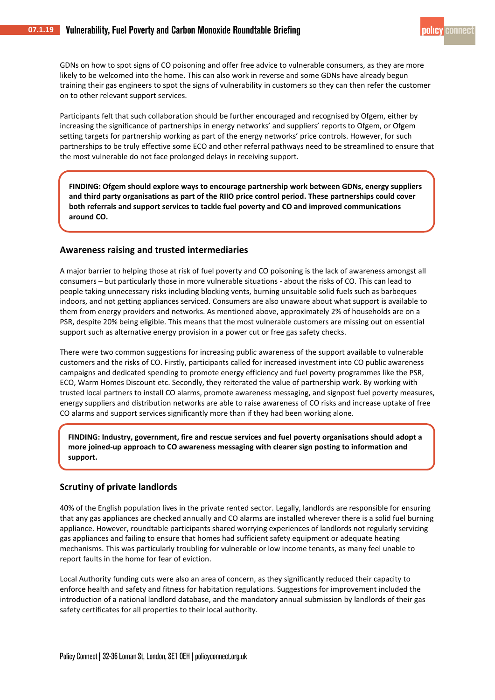GDNs on how to spot signs of CO poisoning and offer free advice to vulnerable consumers, as they are more likely to be welcomed into the home. This can also work in reverse and some GDNs have already begun training their gas engineers to spot the signs of vulnerability in customers so they can then refer the customer on to other relevant support services.

Participants felt that such collaboration should be further encouraged and recognised by Ofgem, either by increasing the significance of partnerships in energy networks' and suppliers' reports to Ofgem, or Ofgem setting targets for partnership working as part of the energy networks' price controls. However, for such partnerships to be truly effective some ECO and other referral pathways need to be streamlined to ensure that the most vulnerable do not face prolonged delays in receiving support.

**FINDING: Ofgem should explore ways to encourage partnership work between GDNs, energy suppliers and third party organisations as part of the RIIO price control period. These partnerships could cover both referrals and support services to tackle fuel poverty and CO and improved communications around CO.**

#### **Awareness raising and trusted intermediaries**

A major barrier to helping those at risk of fuel poverty and CO poisoning is the lack of awareness amongst all consumers – but particularly those in more vulnerable situations - about the risks of CO. This can lead to people taking unnecessary risks including blocking vents, burning unsuitable solid fuels such as barbeques indoors, and not getting appliances serviced. Consumers are also unaware about what support is available to them from energy providers and networks. As mentioned above, approximately 2% of households are on a PSR, despite 20% being eligible. This means that the most vulnerable customers are missing out on essential support such as alternative energy provision in a power cut or free gas safety checks.

There were two common suggestions for increasing public awareness of the support available to vulnerable customers and the risks of CO. Firstly, participants called for increased investment into CO public awareness campaigns and dedicated spending to promote energy efficiency and fuel poverty programmes like the PSR, ECO, Warm Homes Discount etc. Secondly, they reiterated the value of partnership work. By working with trusted local partners to install CO alarms, promote awareness messaging, and signpost fuel poverty measures, energy suppliers and distribution networks are able to raise awareness of CO risks and increase uptake of free CO alarms and support services significantly more than if they had been working alone.

**FINDING: Industry, government, fire and rescue services and fuel poverty organisations should adopt a more joined-up approach to CO awareness messaging with clearer sign posting to information and support.**

#### **Scrutiny of private landlords**

40% of the English population lives in the private rented sector. Legally, landlords are responsible for ensuring that any gas appliances are checked annually and CO alarms are installed wherever there is a solid fuel burning appliance. However, roundtable participants shared worrying experiences of landlords not regularly servicing gas appliances and failing to ensure that homes had sufficient safety equipment or adequate heating mechanisms. This was particularly troubling for vulnerable or low income tenants, as many feel unable to report faults in the home for fear of eviction.

Local Authority funding cuts were also an area of concern, as they significantly reduced their capacity to enforce health and safety and fitness for habitation regulations. Suggestions for improvement included the introduction of a national landlord database, and the mandatory annual submission by landlords of their gas safety certificates for all properties to their local authority.